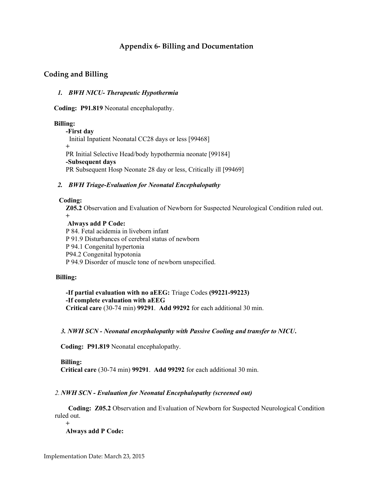# **Appendix 6- Billing and Documentation**

## **Coding and Billing**

#### *1. BWH NICU- Therapeutic Hypothermia*

 **Coding: P91.819** Neonatal encephalopathy.

#### **Billing:**

**-First day** Initial Inpatient Neonatal CC28 days or less [99468] **+** PR Initial Selective Head/body hypothermia neonate [99184] **-Subsequent days** PR Subsequent Hosp Neonate 28 day or less, Critically ill [99469]

#### *2. BWH Triage-Evaluation for Neonatal Encephalopathy*

#### **Coding:**

**Z05.2** Observation and Evaluation of Newborn for Suspected Neurological Condition ruled out. **+**

## **Always add P Code:**

P 84. Fetal acidemia in liveborn infant P 91.9 Disturbances of cerebral status of newborn P 94.1 Congenital hypertonia P94.2 Congenital hypotonia P 94.9 Disorder of muscle tone of newborn unspecified.

### **Billing:**

**-If partial evaluation with no aEEG:** Triage Codes **(99221-99223) -If complete evaluation with aEEG Critical care** (30-74 min) **99291**. **Add 99292** for each additional 30 min.

## *3. NWH SCN - Neonatal encephalopathy with Passive Cooling and transfer to NICU***.**

 **Coding: P91.819** Neonatal encephalopathy.

### **Billing:**

 **Critical care** (30-74 min) **99291**. **Add 99292** for each additional 30 min.

### *2. NWH SCN - Evaluation for Neonatal Encephalopathy (screened out)*

 **Coding: Z05.2** Observation and Evaluation of Newborn for Suspected Neurological Condition ruled out.

**+**

**Always add P Code:**